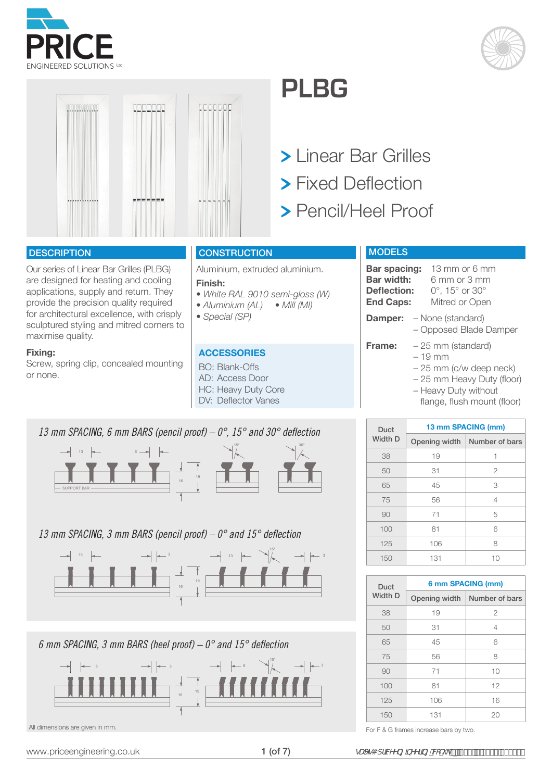





#### **DESCRIPTION**

Our series of Linear Bar Grilles (PLBG) are designed for heating and cooling applications, supply and return. They provide the precision quality required for architectural excellence, with crisply sculptured styling and mitred corners to maximise quality.

#### **Fixing:**

Screw, spring clip, concealed mounting or none.

**CONSTRUCTION** 

Aluminium, extruded aluminium.

#### **Finish:**

- *White RAL 9010 semi-gloss (W)*
- *Aluminium (AL) Mill (MI)*
- *Special (SP)*

#### **ACCESSORIES**

- BO: Blank-Offs AD: Access Door HC: Heavy Duty Core
- DV: Deflector Vanes



#### *13 mm SPACING, 3 mm BARS (pencil proof) – 0° and 15° deflection*



*6 mm SPACING, 3 mm BARS (heel proof) – 0° and 15° deflection*



# **PLBG**

- Linear Bar Grilles
- > Fixed Deflection
- Pencil/Heel Proof

### **MODELS**

| Bar spacing:                     | 13 mm or 6 mm                    |
|----------------------------------|----------------------------------|
| <b>Bar width:</b>                | $6 \text{ mm}$ or $3 \text{ mm}$ |
| <b>Deflection:</b>               | 0°, 15° or 30°                   |
| <b>End Caps:</b>                 | Mitred or Open                   |
| <b>Damper:</b> - None (standard) |                                  |

– Opposed Blade Damper

**Frame:** – 25 mm (standard)

#### – 19 mm

- 25 mm (c/w deep neck)
- 25 mm Heavy Duty (floor)
- Heavy Duty without flange, flush mount (floor)

| Duct           | 13 mm SPACING (mm) |                                |  |  |  |  |  |
|----------------|--------------------|--------------------------------|--|--|--|--|--|
| <b>Width D</b> |                    | Opening width   Number of bars |  |  |  |  |  |
| 38             | 19                 | 1                              |  |  |  |  |  |
| 50             | 31                 | $\overline{2}$                 |  |  |  |  |  |
| 65             | 45                 | 3                              |  |  |  |  |  |
| 75             | 56                 | 4                              |  |  |  |  |  |
| 90             | 71                 | 5                              |  |  |  |  |  |
| 100            | 81                 | 6                              |  |  |  |  |  |
| 125            | 106                | 8                              |  |  |  |  |  |
| 150            | 131                | 10                             |  |  |  |  |  |

| Duct           | 6 mm SPACING (mm) |                                |  |  |  |  |
|----------------|-------------------|--------------------------------|--|--|--|--|
| <b>Width D</b> |                   | Opening width   Number of bars |  |  |  |  |
| 38             | 19                | $\mathfrak{D}$                 |  |  |  |  |
| 50             | 31                | 4                              |  |  |  |  |
| 65             | 45                | 6                              |  |  |  |  |
| 75             | 56                | 8                              |  |  |  |  |
| 90             | 71                | 10                             |  |  |  |  |
| 100            | 81                | 12                             |  |  |  |  |
| 125            | 106               | 16                             |  |  |  |  |
| 150            | 131               | 20                             |  |  |  |  |

All dimensions are given in mm.<br>
For F & G frames increase bars by two.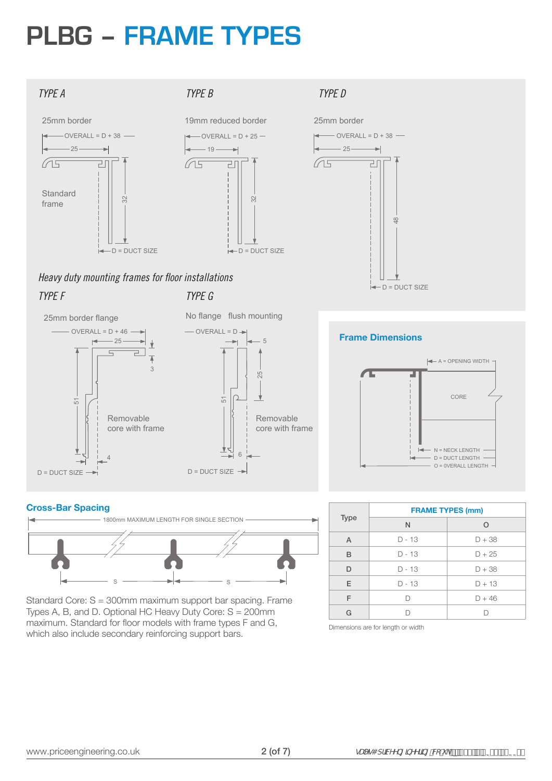## **PLBG – FRAME TYPES**



#### *TYPE A TYPE B TYPE D*



#### *TYPE G Heavy duty mounting frames for floor installations TYPE F*





#### **Cross-Bar Spacing**



Standard Core: S = 300mm maximum support bar spacing. Frame Types A, B, and D. Optional HC Heavy Duty Core: S = 200mm maximum. Standard for floor models with frame types F and G, which also include secondary reinforcing support bars.



### $\leftarrow$  A = OPENING WIDTH - $-$  O = 0VERALL LENGTH  $-D = DUCT LENGTH N = NECK$  LENGTH -CORE **Frame Dimensions**

| <b>Type</b> | <b>FRAME TYPES (mm)</b> |          |  |  |  |
|-------------|-------------------------|----------|--|--|--|
|             | $\mathsf{N}$            | $\Omega$ |  |  |  |
| A           | $D - 13$                | $D + 38$ |  |  |  |
| B           | $D - 13$                | $D + 25$ |  |  |  |
| D           | $D - 13$                | $D + 38$ |  |  |  |
| E           | $D - 13$                | $D + 13$ |  |  |  |
| F           |                         | $D + 46$ |  |  |  |
| G           |                         |          |  |  |  |

#### Dimensions are for length or width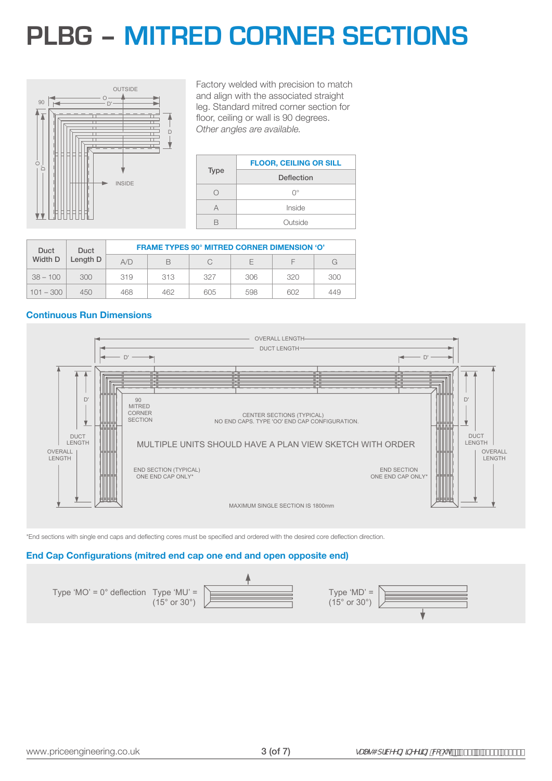### **PLBG – MITRED CORNER SECTIONS**



O *Other angles are available.* Factory welded with precision to match and align with the associated straight leg. Standard mitred corner section for floor, ceiling or wall is 90 degrees.

|             | <b>FLOOR, CEILING OR SILL</b> |
|-------------|-------------------------------|
| <b>Type</b> | Deflection                    |
| . .         | ∩°                            |
| Д           | Inside                        |
|             | Outside                       |

|         | Duct        | Duct | <b>FRAME TYPES 90° MITRED CORNER DIMENSION 'O'</b> |     |     |     |     |     |  |  |
|---------|-------------|------|----------------------------------------------------|-----|-----|-----|-----|-----|--|--|
| Width D | Length D    | A/D  | B                                                  |     | F   |     | G   |     |  |  |
|         | $38 - 100$  | 300  | 319                                                | 313 | 327 | 306 | 320 | 300 |  |  |
|         | $101 - 300$ | 450  | 468                                                | 462 | 605 | 598 | 602 | 449 |  |  |

#### **Continuous Run Dimensions**



\*End sections with single end caps and deflecting cores must be specified and ordered with the desired core deflection direction.

#### **End Cap Configurations (mitred end cap one end and open opposite end)**

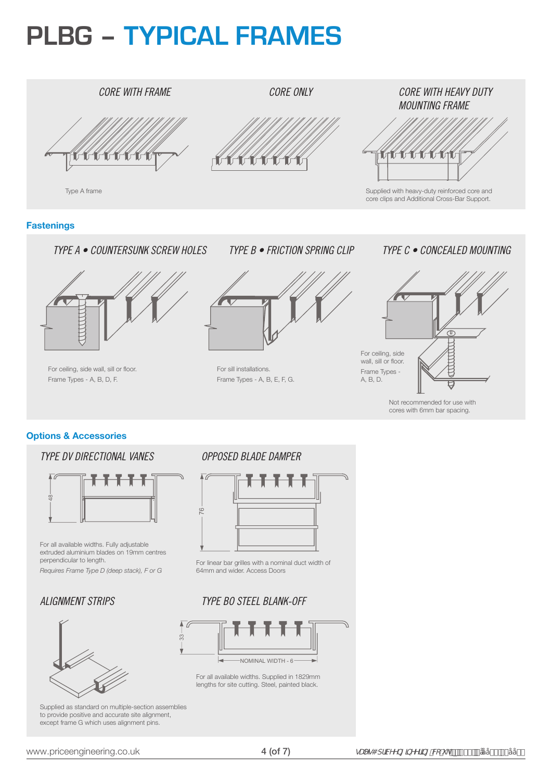## **PLBG – TYPICAL FRAMES**

### *CORE WITH FRAME CORE ONLY CORE WITH HEAVY DUTY MOUNTING FRAME* Type A frame Supplied with heavy-duty reinforced core and core clips and Additional Cross-Bar Support. **Fastenings** *TYPE A • COUNTERSUNK SCREW HOLES TYPE B • FRICTION SPRING CLIP TYPE C • CONCEALED MOUNTING*



For ceiling, side wall, sill or floor. Frame Types - A, B, D, F.



For sill installations. Frame Types - A, B, E, F, G.



Not recommended for use with cores with 6mm bar spacing.

### **Options & Accessories**

### *TYPE DV DIRECTIONAL VANES*



For all available widths. Fully adjustable extruded aluminium blades on 19mm centres perpendicular to length.

*Requires Frame Type D (deep stack), F or G*

### *ALIGNMENT STRIPS*



Supplied as standard on multiple-section assemblies to provide positive and accurate site alignment, except frame G which uses alignment pins.

### *OPPOSED BLADE DAMPER*



For linear bar grilles with a nominal duct width of 64mm and wider. Access Doors

### *TYPE BO STEEL BLANK-OFF*



For all available widths. Supplied in 1829mm lengths for site cutting. Steel, painted black.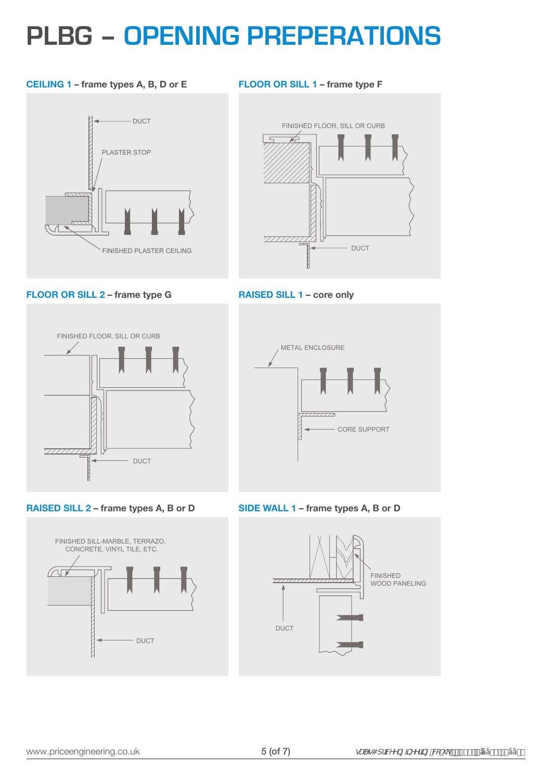### **PLBG – OPENING PREPERATIONS**

#### **CEILING 1 – frame types A, B, D or E**



**FLOOR OR SILL 1 – frame type F**



**FLOOR OR SILL 2 – frame type G**



**RAISED SILL 2 – frame types A, B or D**







**SIDE WALL 1 – frame types A, B or D**

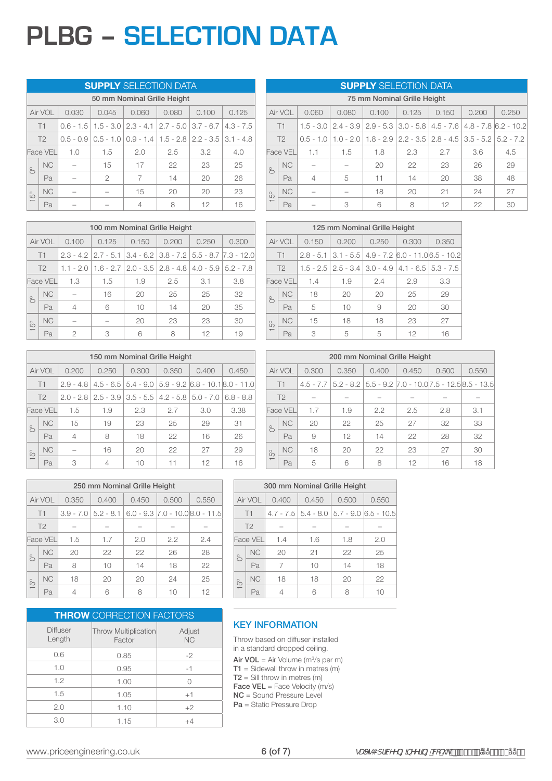## **PLBG – SELECTION DATA**

#### **SUPPLY** SELECTION DATA

|                          | 50 mm Nominal Grille Height |     |       |                                                                                   |       |       |       |  |  |  |
|--------------------------|-----------------------------|-----|-------|-----------------------------------------------------------------------------------|-------|-------|-------|--|--|--|
| Air VOL<br>0.030         |                             |     | 0.045 | 0.060                                                                             | 0.080 | 0.100 | 0.125 |  |  |  |
| T1                       |                             |     |       | $0.6 - 1.5$   1.5 - 3.0   2.3 - 4.1   2.7 - 5.0   3.7 - 6.7   4.3 - 7.5           |       |       |       |  |  |  |
| T <sub>2</sub>           |                             |     |       | $0.5 - 0.9$   $0.5 - 1.0$   $0.9 - 1.4$   $1.5 - 2.8$   $2.2 - 3.5$   $3.1 - 4.8$ |       |       |       |  |  |  |
| <b>Face VEL</b>          |                             | 1.0 | 1.5   | 2.0                                                                               | 2.5   | 3.2   | 4.0   |  |  |  |
| S                        | <b>NC</b>                   |     | 15    | 17                                                                                | 22    | 23    | 25    |  |  |  |
|                          | Pa                          |     | 2     |                                                                                   | 14    | 20    | 26    |  |  |  |
| S                        | <b>NC</b>                   |     |       | 15                                                                                | 20    | 20    | 23    |  |  |  |
| $\overline{\phantom{0}}$ | Pa                          |     |       | 4                                                                                 | 8     | 12    | 16    |  |  |  |

| 100 mm Nominal Grille Height |                |                |                                                                                    |       |       |       |       |  |  |
|------------------------------|----------------|----------------|------------------------------------------------------------------------------------|-------|-------|-------|-------|--|--|
|                              | Air VOL        | 0.100          | 0.125                                                                              | 0.150 | 0.200 | 0.250 | 0.300 |  |  |
|                              | T1             |                | $2.3 - 4.2$   $2.7 - 5.1$   $3.4 - 6.2$   $3.8 - 7.2$   $5.5 - 8.7$   $7.3 - 12.0$ |       |       |       |       |  |  |
|                              | T <sub>2</sub> |                | $1.1 - 2.0$   $1.6 - 2.7$   $2.0 - 3.5$   $2.8 - 4.8$   $4.0 - 5.9$   $5.2 - 7.8$  |       |       |       |       |  |  |
| <b>Face VEL</b>              |                | 1.3            | 1.5                                                                                | 1.9   | 2.5   | 3.1   | 3.8   |  |  |
| $\delta$                     | <b>NC</b>      |                | 16                                                                                 | 20    | 25    | 25    | 32    |  |  |
|                              | Pa             | $\overline{4}$ | 6                                                                                  | 10    | 14    | 20    | 35    |  |  |
| S                            | <b>NC</b>      |                |                                                                                    | 20    | 23    | 23    | 30    |  |  |
| $\overline{ }$               | Pa             | 2              | 3                                                                                  | 6     | Я     | 12    | 19    |  |  |

|                | 150 mm Nominal Grille Height |                |                                                                                     |       |       |       |       |  |  |
|----------------|------------------------------|----------------|-------------------------------------------------------------------------------------|-------|-------|-------|-------|--|--|
|                | Air VOL                      | 0.200          | 0.250                                                                               | 0.300 | 0.350 | 0.400 | 0.450 |  |  |
| T1             |                              |                | $2.9 - 4.8$   $4.5 - 6.5$   $5.4 - 9.0$   $5.9 - 9.2$   $6.8 - 10.1$   $8.0 - 11.0$ |       |       |       |       |  |  |
| T <sub>2</sub> |                              |                | $2.0 - 2.8$   $2.5 - 3.9$   $3.5 - 5.5$   $4.2 - 5.8$   $5.0 - 7.0$   $6.8 - 8.8$   |       |       |       |       |  |  |
| Face VEL       |                              | 1.5            | 1.9                                                                                 | 2.3   | 2.7   | 3.0   | 3.38  |  |  |
| S              | <b>NC</b>                    | 15             | 19                                                                                  | 23    | 25    | 29    | 31    |  |  |
|                | Pa                           | $\overline{4}$ | 8                                                                                   | 18    | 22    | 16    | 26    |  |  |
| S              | <b>NC</b>                    |                | 16                                                                                  | 20    | 22    | 27    | 29    |  |  |
|                | Pa                           | 3              | 4                                                                                   | 10    | 11    | 12    | 16    |  |  |

|                                                               | <b>SUPPLY</b> SELECTION DATA |                |     |     |     |       |     |                                                                                                  |  |  |  |
|---------------------------------------------------------------|------------------------------|----------------|-----|-----|-----|-------|-----|--------------------------------------------------------------------------------------------------|--|--|--|
|                                                               | 75 mm Nominal Grille Height  |                |     |     |     |       |     |                                                                                                  |  |  |  |
| Air VOL<br>0.200<br>0.060<br>0.080<br>0.100<br>0.125<br>0.150 |                              |                |     |     |     | 0.250 |     |                                                                                                  |  |  |  |
| T1                                                            |                              |                |     |     |     |       |     | $1.5 - 3.0$   2.4 $- 3.9$   2.9 $- 5.3$   3.0 $- 5.8$   4.5 $- 7.6$   4.8 $- 7.8$   6.2 $- 10.2$ |  |  |  |
| T <sub>2</sub>                                                |                              |                |     |     |     |       |     | $0.5 - 1.0$   1.0 - 2.0   1.8 - 2.9   2.2 - 3.5   2.8 - 4.5   3.5 - 5.2   5.2 - 7.2              |  |  |  |
| <b>Face VEL</b>                                               |                              | 1.1            | 1.5 | 1.8 | 2.3 | 2.7   | 3.6 | 4.5                                                                                              |  |  |  |
| $\approx$                                                     | <b>NC</b>                    |                |     | 20  | 22  | 23    | 26  | 29                                                                                               |  |  |  |
|                                                               | Pa                           | $\overline{4}$ | 5   | 11  | 14  | 20    | 38  | 48                                                                                               |  |  |  |
| S                                                             | <b>NC</b>                    |                |     | 18  | 20  | 21    | 24  | 27                                                                                               |  |  |  |
| $\overline{\phantom{0}}$                                      | Pa                           |                | 3   | 6   | 8   | 12    | 22  | 30                                                                                               |  |  |  |

|                |           |       | 125 mm Nominal Grille Height                                        |                                                               |       |       |
|----------------|-----------|-------|---------------------------------------------------------------------|---------------------------------------------------------------|-------|-------|
| Air VOL        |           | 0.150 | 0.200                                                               | 0.250                                                         | 0.300 | 0.350 |
| T1             |           |       |                                                                     | $2.8 - 5.1$   3.1 - 5.5   4.9 - 7.2   6.0 - 11.0   6.5 - 10.2 |       |       |
| T <sub>2</sub> |           |       | $1.5 - 2.5$   $2.5 - 3.4$   $3.0 - 4.9$   $4.1 - 6.5$   $5.3 - 7.5$ |                                                               |       |       |
|                | Face VEL  | 1.4   | 1.9                                                                 | 2.4                                                           | 2.9   | 3.3   |
| $\approx$      | NC.       | 18    | 20                                                                  | 20                                                            | 25    | 29    |
|                | Pa        | 5     | 10                                                                  | 9                                                             | 20    | 30    |
| S              | <b>NC</b> | 15    | 18                                                                  | 18                                                            | 23    | 27    |
|                | Pa        | 3     | 5                                                                   | 5                                                             | 12    | 16    |

|                          | 200 mm Nominal Grille Height |       |                                                                                      |       |       |       |       |  |  |  |
|--------------------------|------------------------------|-------|--------------------------------------------------------------------------------------|-------|-------|-------|-------|--|--|--|
| Air VOL                  |                              | 0.300 | 0.350                                                                                | 0.400 | 0.450 | 0.500 | 0.550 |  |  |  |
| T1                       |                              |       | $4.5 - 7.7$   5.2 $- 8.2$   5.5 $- 9.2$   7.0 $- 10.0$   7.5 $- 12.5$   8.5 $- 13.5$ |       |       |       |       |  |  |  |
| T <sub>2</sub>           |                              |       |                                                                                      |       |       |       |       |  |  |  |
|                          | Face VEL                     | 1.7   | 1.9                                                                                  | 2.2   | 2.5   | 2.8   | 3.1   |  |  |  |
| $\approx$                | <b>NC</b>                    | 20    | 22                                                                                   | 25    | 27    | 32    | 33    |  |  |  |
|                          | Pa                           | 9     | 12                                                                                   | 14    | 22    | 28    | 32    |  |  |  |
| S                        | N <sub>C</sub>               | 18    | 20                                                                                   | 22    | 23    | 27    | 30    |  |  |  |
| $\overline{\phantom{0}}$ | Pa                           | 5     | Я                                                                                    | 8     | 12    | 16    | 18    |  |  |  |

|        |                 |       | 250 mm Nominal Grille Height |       |                                                               |       |
|--------|-----------------|-------|------------------------------|-------|---------------------------------------------------------------|-------|
|        | Air VOL         | 0.350 | 0.400                        | 0.450 | 0.500                                                         | 0.550 |
|        | T1              |       |                              |       | $3.9 - 7.0$   5.2 - 8.1   6.0 - 9.3   7.0 - 10.0   8.0 - 11.5 |       |
|        | T <sub>2</sub>  |       |                              |       |                                                               |       |
|        | <b>Face VEL</b> | 1.5   | 1.7                          | 2.0   | 2.2                                                           | 2.4   |
| ò      | <b>NC</b>       | 20    | 22                           | 22    | 26                                                            | 28    |
|        | Pa              | 8     | 10                           | 14    | 18                                                            | 22    |
| S      | <b>NC</b>       | 18    | 20                           | 20    | 24                                                            | 25    |
| $\top$ | Рa              | 4     |                              |       | 10                                                            | 12    |

|                           | <b>THROW CORRECTION FACTORS</b>       |                     |
|---------------------------|---------------------------------------|---------------------|
| <b>Diffuser</b><br>Length | <b>Throw Multiplication</b><br>Factor | Adjust<br><b>NC</b> |
| 0.6                       | 0.85                                  | $-2$                |
| 1.0                       | 0.95                                  | $-1$                |
| 1.2                       | 1.00                                  |                     |
| 1.5                       | 1.05                                  | $+1$                |
| 2.0                       | 1.10                                  | $+2$                |
| 3.0                       | 1.15                                  | $+4$                |

|                                             |                 |                | 300 mm Nominal Grille Height |     |                                                  |  |  |  |  |  |
|---------------------------------------------|-----------------|----------------|------------------------------|-----|--------------------------------------------------|--|--|--|--|--|
| Air VOL<br>0.400<br>0.500<br>0.550<br>0.450 |                 |                |                              |     |                                                  |  |  |  |  |  |
|                                             | T1              |                |                              |     | $4.7 - 7.5$   5.4 - 8.0   5.7 - 9.0   6.5 - 10.5 |  |  |  |  |  |
|                                             | T <sub>2</sub>  |                |                              |     |                                                  |  |  |  |  |  |
|                                             | <b>Face VEL</b> | 1.4            | 1.6                          | 1.8 | 2.0                                              |  |  |  |  |  |
| $\approx$                                   | <b>NC</b>       | 20             | 21                           | 22  | 25                                               |  |  |  |  |  |
|                                             | Pa              | 7              | 10                           | 14  | 18                                               |  |  |  |  |  |
| <b>NC</b><br>$\frac{6}{5}$                  |                 | 18             | 18                           | 20  | 22                                               |  |  |  |  |  |
|                                             | Pa              | $\overline{4}$ |                              | 8   | 10                                               |  |  |  |  |  |

#### KEY INFORMATION

Throw based on diffuser installed in a standard dropped ceiling.

**Air VOL** = Air Volume  $(m^3/s$  per m)

 $T1 =$  Sidewall throw in metres (m)  $T2 =$  Sill throw in metres (m)

**Face VEL** = Face Velocity  $(m/s)$ 

NC = Sound Pressure Level

Pa = Static Pressure Drop